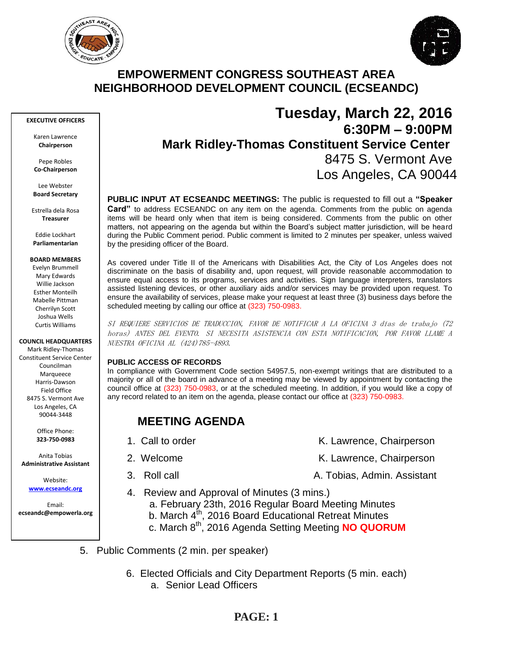



# **EMPOWERMENT CONGRESS SOUTHEAST AREA NEIGHBORHOOD DEVELOPMENT COUNCIL (ECSEANDC)**

#### **EXECUTIVE OFFICERS**

Karen Lawrence **Chairperson**

Pepe Robles **Co-Chairperson**

Lee Webster **Board Secretary**

Estrella dela Rosa **Treasurer**

Eddie Lockhart **Parliamentarian**

#### **BOARD MEMBERS**

Evelyn Brummell Mary Edwards Willie Jackson Esther Monteilh Mabelle Pittman Cherrilyn Scott Joshua Wells Curtis Williams

#### **COUNCIL HEADQUARTERS**

Mark Ridley-Thomas Constituent Service Center Councilman Marqueece Harris-Dawson Field Office 8475 S. Vermont Ave Los Angeles, CA 90044-3448

> Office Phone: **323-750-0983**

Anita Tobias **Administrative Assistant**

> Website: **[www.ecseandc.org](http://www.ecseandc.org/)**

Email: **ecseandc@empowerla.org**

# **Tuesday, March 22, 2016 6:30PM – 9:00PM Mark Ridley-Thomas Constituent Service Center** 8475 S. Vermont Ave Los Angeles, CA 90044

**PUBLIC INPUT AT ECSEANDC MEETINGS:** The public is requested to fill out a **"Speaker Card"** to address ECSEANDC on any item on the agenda. Comments from the public on agenda items will be heard only when that item is being considered. Comments from the public on other matters, not appearing on the agenda but within the Board's subject matter jurisdiction, will be heard during the Public Comment period. Public comment is limited to 2 minutes per speaker, unless waived by the presiding officer of the Board.

As covered under Title II of the Americans with Disabilities Act, the City of Los Angeles does not discriminate on the basis of disability and, upon request, will provide reasonable accommodation to ensure equal access to its programs, services and activities. Sign language interpreters, translators assisted listening devices, or other auxiliary aids and/or services may be provided upon request. To ensure the availability of services, please make your request at least three (3) business days before the scheduled meeting by calling our office at (323) 750-0983.

SI REQUIERE SERVICIOS DE TRADUCCION, FAVOR DE NOTIFICAR A LA OFICINA 3 días de trabajo (72 horas) ANTES DEL EVENTO. SI NECESITA ASISTENCIA CON ESTA NOTIFICACION, POR FAVOR LLAME A NUESTRA OFICINA AL (424)785-4893.

#### **PUBLIC ACCESS OF RECORDS**

In compliance with Government Code section 54957.5, non-exempt writings that are distributed to a majority or all of the board in advance of a meeting may be viewed by appointment by contacting the council office at (323) 750-0983, or at the scheduled meeting. In addition, if you would like a copy of any record related to an item on the agenda, please contact our office at (323) 750-0983.

# **MEETING AGENDA**

- 
- -
- 4. Review and Approval of Minutes (3 mins.)
- a. February 23th, 2016 Regular Board Meeting Minutes
	- b. March  $4^{th}$ , 2016 Board Educational Retreat Minutes
	- c. March 8th, 2016 Agenda Setting Meeting **NO QUORUM**
- 5. Public Comments (2 min. per speaker)
	- 6. Elected Officials and City Department Reports (5 min. each) a. Senior Lead Officers

# **PAGE: 1**

- 1. Call to order The Call to order The Chairperson K. Lawrence, Chairperson
- 2. Welcome **K. Lawrence, Chairperson** 
	-
- 
- 3. Roll call A. Tobias, Admin. Assistant
-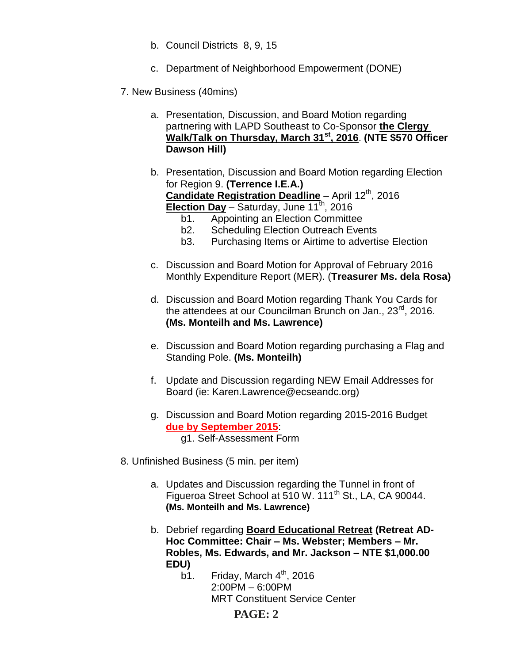- b. Council Districts 8, 9, 15
- c. Department of Neighborhood Empowerment (DONE)
- 7. New Business (40mins)
	- a. Presentation, Discussion, and Board Motion regarding partnering with LAPD Southeast to Co-Sponsor **the Clergy Walk/Talk on Thursday, March 31st, 2016**. **(NTE \$570 Officer Dawson Hill)**
	- b. Presentation, Discussion and Board Motion regarding Election for Region 9. **(Terrence I.E.A.) Candidate Registration Deadline** – April 12<sup>th</sup>, 2016 **Election Day** - Saturday, June 11<sup>th</sup>, 2016
		- b1. Appointing an Election Committee
		- b2. Scheduling Election Outreach Events
		- b3. Purchasing Items or Airtime to advertise Election
	- c. Discussion and Board Motion for Approval of February 2016 Monthly Expenditure Report (MER). (**Treasurer Ms. dela Rosa)**
	- d. Discussion and Board Motion regarding Thank You Cards for the attendees at our Councilman Brunch on Jan., 23<sup>rd</sup>, 2016. **(Ms. Monteilh and Ms. Lawrence)**
	- e. Discussion and Board Motion regarding purchasing a Flag and Standing Pole. **(Ms. Monteilh)**
	- f. Update and Discussion regarding NEW Email Addresses for Board (ie: Karen.Lawrence@ecseandc.org)
	- g. Discussion and Board Motion regarding 2015-2016 Budget **due by September 2015**: g1. Self-Assessment Form
- 8. Unfinished Business (5 min. per item)
	- a. Updates and Discussion regarding the Tunnel in front of Figueroa Street School at 510 W. 111<sup>th</sup> St., LA, CA 90044. **(Ms. Monteilh and Ms. Lawrence)**
	- b. Debrief regarding **Board Educational Retreat (Retreat AD-Hoc Committee: Chair – Ms. Webster; Members – Mr. Robles, Ms. Edwards, and Mr. Jackson – NTE \$1,000.00 EDU)**
		- b1. Friday, March  $4<sup>th</sup>$ , 2016 2:00PM – 6:00PM MRT Constituent Service Center

## **PAGE: 2**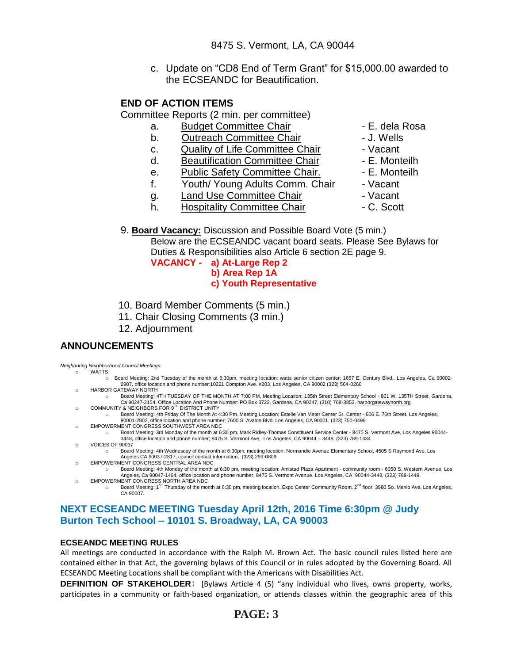c. Update on "CD8 End of Term Grant" for \$15,000.00 awarded to the ECSEANDC for Beautification.

## **END OF ACTION ITEMS**

Committee Reports (2 min. per committee)

- a. Budget Committee Chair **Chair** E. dela Rosa
- b. Outreach Committee Chair **Day 1. Wells**
- c. Quality of Life Committee Chair Vacant
- d. Beautification Committee Chair Fame E. Monteilh
- e. Public Safety Committee Chair. E. Monteilh
- f. Youth/ Young Adults Comm. Chair Vacant
- 
- g. Land Use Committee Chair **comparent** Vacant
- h. Hospitality Committee Chair  **C. Scott**
- 
- 
- 
- 
- 
- 
- 
- 9. **Board Vacancy:** Discussion and Possible Board Vote (5 min.)

Below are the ECSEANDC vacant board seats. Please See Bylaws for Duties & Responsibilities also Article 6 section 2E page 9.

**VACANCY - a) At-Large Rep 2 b) Area Rep 1A c) Youth Representative**

- 10. Board Member Comments (5 min.)
- 11. Chair Closing Comments (3 min.)
- 12. Adjournment

## **ANNOUNCEMENTS**

*Neighboring Neighborhood Council Meetings:* o WATTS

- o Board Meeting: 2nd Tuesday of the month at 6:30pm, meeting location: watts senior citizen center; 1657 E. Century Blvd., Los Angeles, Ca 90002- 2987, office location and phone number:10221 Compton Ave. #203, Los Angeles, CA 90002 (323) 564-0260
- o HARBOR GATEWAY NORTH o Board Meeting: 4TH TUESDAY OF THE MONTH AT 7:00 PM, Meeting Location: 135th Street Elementary School - 801 W. 135TH Street, Gardena, Ca 90247-2154, Office Location And Phone Number: PO Box 3723, Gardena, CA 90247, (310) 768-3853[, harborgatewaynorth.org](http://www.lacity.org/disclaim/disclaim.cfm?goto=http://HARBORGATEWAYNORTH.ORG%20%20%20%20%20%20%20%20%20%20%20%20%20%20%20%20%20%20%20%20%20%20%20%20%20%20%20%20%20/%20_blank)
- o COMMUNITY & NEIGHBORS FOR 9<sup>TH</sup> DISTRICT UNITY
	- o Board Meeting: 4th Friday Of The Month At 4:30 Pm, Meeting Location; Estelle Van Meter Center Sr. Center 606 E. 76th Street, Los Angeles, 90001-2802, office location and phone number; 7600 S. Avalon Blvd. Los Angeles, CA 90001, (323) 750-0496
- o EMPOWERMENT CONGRESS SOUTHWEST AREA NDC
- o Board Meeting: 3rd Monday of the month at 6:30 pm, Mark Ridley-Thomas Constituent Service Center 8475 S. Vermont Ave, Los Angeles 90044- 3448, office location and phone number; 8475 S. Vermont Ave, Los Angeles, CA 90044 – 3448, (323) 789-1434. o VOICES OF 90037
	- o Board Meeting: 4th Wednesday of the month at 6:30pm, meeting location: Normandie Avenue Elementary School, 4505 S Raymond Ave, Los Angeles CA 90037-2817, council contact information; (323) 299-0809
- o EMPOWERMENT CONGRESS CENTRAL AREA NDC
	- o Board Meeting: 4th Monday of the month at 6:30 pm, meeting location; Amistad Plaza Apartment community room 6050 S. Western Avenue, Los Angeles, Ca 90047-1464, office location and phone number, 8475 S. Vermont Avenue, Los Angeles, CA 90044-3448, (323) 789-1449. **EMPOWERMENT CONGRESS NORTH AREA NDC**
- o Board Meeting: 1<sup>ST</sup> Thursday of the month at 6:30 pm, meeting location, Expo Center Community Room. 2<sup>nd</sup> floor, 3980 So. Menlo Ave, Los Angeles, CA 90007.

## **NEXT ECSEANDC MEETING Tuesday April 12th, 2016 Time 6:30pm @ Judy Burton Tech School – 10101 S. Broadway, LA, CA 90003**

#### **ECSEANDC MEETING RULES**

All meetings are conducted in accordance with the Ralph M. Brown Act. The basic council rules listed here are contained either in that Act, the governing bylaws of this Council or in rules adopted by the Governing Board. All ECSEANDC Meeting Locations shall be compliant with the Americans with Disabilities Act.

**DEFINITION OF STAKEHOLDER**: [Bylaws Article 4 (5) "any individual who lives, owns property, works, participates in a community or faith-based organization, or attends classes within the geographic area of this

# **PAGE: 3**